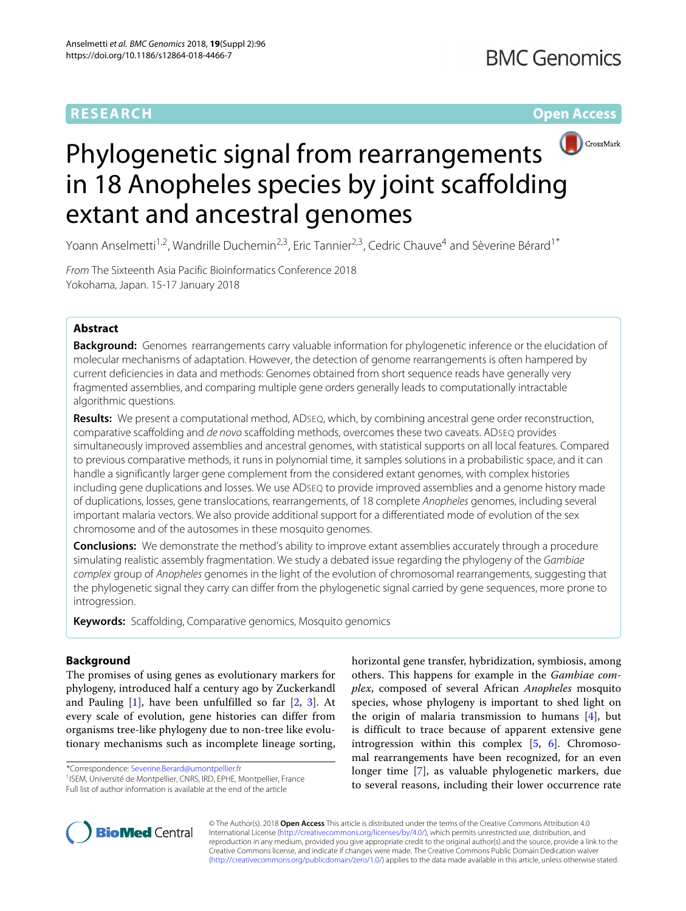# **RESEARCH Open Access**



# Phylogenetic signal from rearrangements in 18 Anopheles species by joint scaffolding extant and ancestral genomes

Yoann Anselmetti<sup>1,2</sup>, Wandrille Duchemin<sup>2,3</sup>, Eric Tannier<sup>2,3</sup>, Cedric Chauve<sup>4</sup> and Sèverine Bérard<sup>1\*</sup>

From The Sixteenth Asia Pacific Bioinformatics Conference 2018 Yokohama, Japan. 15-17 January 2018

# **Abstract**

**Background:** Genomes rearrangements carry valuable information for phylogenetic inference or the elucidation of molecular mechanisms of adaptation. However, the detection of genome rearrangements is often hampered by current deficiencies in data and methods: Genomes obtained from short sequence reads have generally very fragmented assemblies, and comparing multiple gene orders generally leads to computationally intractable algorithmic questions.

**Results:** We present a computational method, ADSEQ, which, by combining ancestral gene order reconstruction, comparative scaffolding and de novo scaffolding methods, overcomes these two caveats. ADSEQ provides simultaneously improved assemblies and ancestral genomes, with statistical supports on all local features. Compared to previous comparative methods, it runs in polynomial time, it samples solutions in a probabilistic space, and it can handle a significantly larger gene complement from the considered extant genomes, with complex histories including gene duplications and losses. We use ADSEQ to provide improved assemblies and a genome history made of duplications, losses, gene translocations, rearrangements, of 18 complete Anopheles genomes, including several important malaria vectors. We also provide additional support for a differentiated mode of evolution of the sex chromosome and of the autosomes in these mosquito genomes.

**Conclusions:** We demonstrate the method's ability to improve extant assemblies accurately through a procedure simulating realistic assembly fragmentation. We study a debated issue regarding the phylogeny of the Gambiae complex group of Anopheles genomes in the light of the evolution of chromosomal rearrangements, suggesting that the phylogenetic signal they carry can differ from the phylogenetic signal carried by gene sequences, more prone to introgression.

**Keywords:** Scaffolding, Comparative genomics, Mosquito genomics

# **Background**

The promises of using genes as evolutionary markers for phylogeny, introduced half a century ago by Zuckerkandl and Pauling  $[1]$ , have been unfulfilled so far  $[2, 3]$  $[2, 3]$  $[2, 3]$ . At every scale of evolution, gene histories can differ from organisms tree-like phylogeny due to non-tree like evolutionary mechanisms such as incomplete lineage sorting,

\*Correspondence: [Severine.Berard@umontpellier.fr](mailto: Severine.Berard@umontpellier.fr)

<sup>1</sup>ISEM, Université de Montpellier, CNRS, IRD, EPHE, Montpellier, France Full list of author information is available at the end of the article

horizontal gene transfer, hybridization, symbiosis, among others. This happens for example in the *Gambiae complex*, composed of several African *Anopheles* mosquito species, whose phylogeny is important to shed light on the origin of malaria transmission to humans  $[4]$ , but is difficult to trace because of apparent extensive gene introgression within this complex [\[5,](#page-13-4) [6\]](#page-13-5). Chromosomal rearrangements have been recognized, for an even longer time [\[7\]](#page-13-6), as valuable phylogenetic markers, due to several reasons, including their lower occurrence rate



© The Author(s). 2018 **Open Access** This article is distributed under the terms of the Creative Commons Attribution 4.0 International License [\(http://creativecommons.org/licenses/by/4.0/\)](http://creativecommons.org/licenses/by/4.0/), which permits unrestricted use, distribution, and reproduction in any medium, provided you give appropriate credit to the original author(s) and the source, provide a link to the Creative Commons license, and indicate if changes were made. The Creative Commons Public Domain Dedication waiver [\(http://creativecommons.org/publicdomain/zero/1.0/\)](http://creativecommons.org/publicdomain/zero/1.0/) applies to the data made available in this article, unless otherwise stated.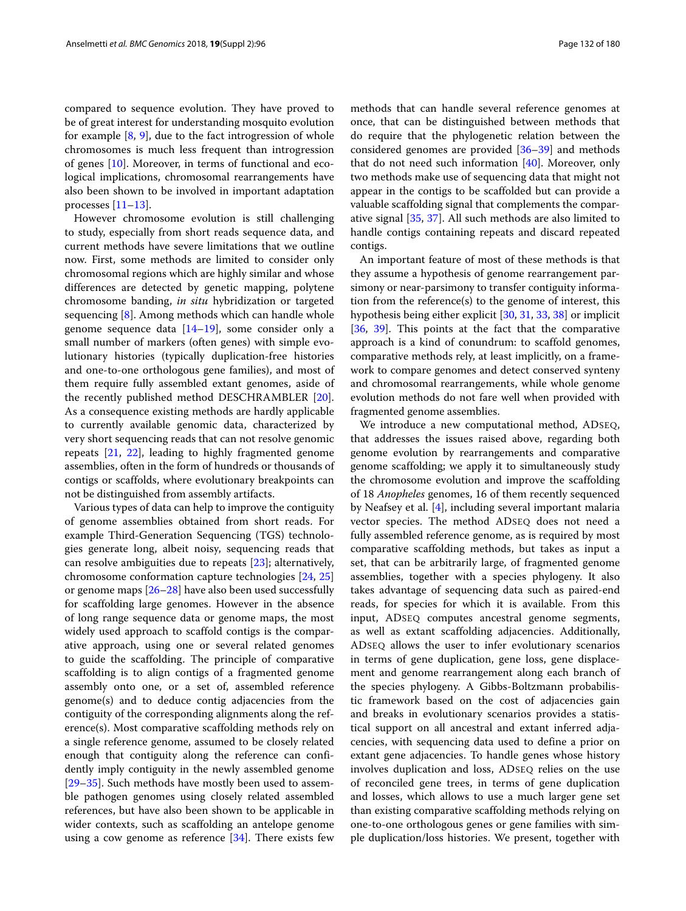compared to sequence evolution. They have proved to be of great interest for understanding mosquito evolution for example  $[8, 9]$  $[8, 9]$  $[8, 9]$ , due to the fact introgression of whole chromosomes is much less frequent than introgression of genes [\[10\]](#page-13-9). Moreover, in terms of functional and ecological implications, chromosomal rearrangements have also been shown to be involved in important adaptation processes [\[11](#page-13-10)[–13\]](#page-13-11).

However chromosome evolution is still challenging to study, especially from short reads sequence data, and current methods have severe limitations that we outline now. First, some methods are limited to consider only chromosomal regions which are highly similar and whose differences are detected by genetic mapping, polytene chromosome banding, *in situ* hybridization or targeted sequencing  $[8]$ . Among methods which can handle whole genome sequence data  $[14–19]$  $[14–19]$ , some consider only a small number of markers (often genes) with simple evolutionary histories (typically duplication-free histories and one-to-one orthologous gene families), and most of them require fully assembled extant genomes, aside of the recently published method DESCHRAMBLER [\[20\]](#page-13-14). As a consequence existing methods are hardly applicable to currently available genomic data, characterized by very short sequencing reads that can not resolve genomic repeats [\[21,](#page-13-15) [22\]](#page-13-16), leading to highly fragmented genome assemblies, often in the form of hundreds or thousands of contigs or scaffolds, where evolutionary breakpoints can not be distinguished from assembly artifacts.

Various types of data can help to improve the contiguity of genome assemblies obtained from short reads. For example Third-Generation Sequencing (TGS) technologies generate long, albeit noisy, sequencing reads that can resolve ambiguities due to repeats [\[23\]](#page-13-17); alternatively, chromosome conformation capture technologies [\[24,](#page-13-18) [25\]](#page-13-19) or genome maps [\[26–](#page-13-20)[28\]](#page-13-21) have also been used successfully for scaffolding large genomes. However in the absence of long range sequence data or genome maps, the most widely used approach to scaffold contigs is the comparative approach, using one or several related genomes to guide the scaffolding. The principle of comparative scaffolding is to align contigs of a fragmented genome assembly onto one, or a set of, assembled reference genome(s) and to deduce contig adjacencies from the contiguity of the corresponding alignments along the reference(s). Most comparative scaffolding methods rely on a single reference genome, assumed to be closely related enough that contiguity along the reference can confidently imply contiguity in the newly assembled genome [\[29](#page-13-22)[–35\]](#page-13-23). Such methods have mostly been used to assemble pathogen genomes using closely related assembled references, but have also been shown to be applicable in wider contexts, such as scaffolding an antelope genome using a cow genome as reference  $[34]$ . There exists few

methods that can handle several reference genomes at once, that can be distinguished between methods that do require that the phylogenetic relation between the considered genomes are provided [\[36](#page-13-25)[–39\]](#page-13-26) and methods that do not need such information [\[40\]](#page-13-27). Moreover, only two methods make use of sequencing data that might not appear in the contigs to be scaffolded but can provide a valuable scaffolding signal that complements the comparative signal [\[35,](#page-13-23) [37\]](#page-13-28). All such methods are also limited to handle contigs containing repeats and discard repeated contigs.

An important feature of most of these methods is that they assume a hypothesis of genome rearrangement parsimony or near-parsimony to transfer contiguity information from the reference(s) to the genome of interest, this hypothesis being either explicit [\[30,](#page-13-29) [31,](#page-13-30) [33,](#page-13-31) [38\]](#page-13-32) or implicit [\[36,](#page-13-25) [39\]](#page-13-26). This points at the fact that the comparative approach is a kind of conundrum: to scaffold genomes, comparative methods rely, at least implicitly, on a framework to compare genomes and detect conserved synteny and chromosomal rearrangements, while whole genome evolution methods do not fare well when provided with fragmented genome assemblies.

We introduce a new computational method, ADSEQ, that addresses the issues raised above, regarding both genome evolution by rearrangements and comparative genome scaffolding; we apply it to simultaneously study the chromosome evolution and improve the scaffolding of 18 *Anopheles* genomes, 16 of them recently sequenced by Neafsey et al. [\[4\]](#page-13-3), including several important malaria vector species. The method ADSEQ does not need a fully assembled reference genome, as is required by most comparative scaffolding methods, but takes as input a set, that can be arbitrarily large, of fragmented genome assemblies, together with a species phylogeny. It also takes advantage of sequencing data such as paired-end reads, for species for which it is available. From this input, ADSEQ computes ancestral genome segments, as well as extant scaffolding adjacencies. Additionally, ADSEQ allows the user to infer evolutionary scenarios in terms of gene duplication, gene loss, gene displacement and genome rearrangement along each branch of the species phylogeny. A Gibbs-Boltzmann probabilistic framework based on the cost of adjacencies gain and breaks in evolutionary scenarios provides a statistical support on all ancestral and extant inferred adjacencies, with sequencing data used to define a prior on extant gene adjacencies. To handle genes whose history involves duplication and loss, ADSEQ relies on the use of reconciled gene trees, in terms of gene duplication and losses, which allows to use a much larger gene set than existing comparative scaffolding methods relying on one-to-one orthologous genes or gene families with simple duplication/loss histories. We present, together with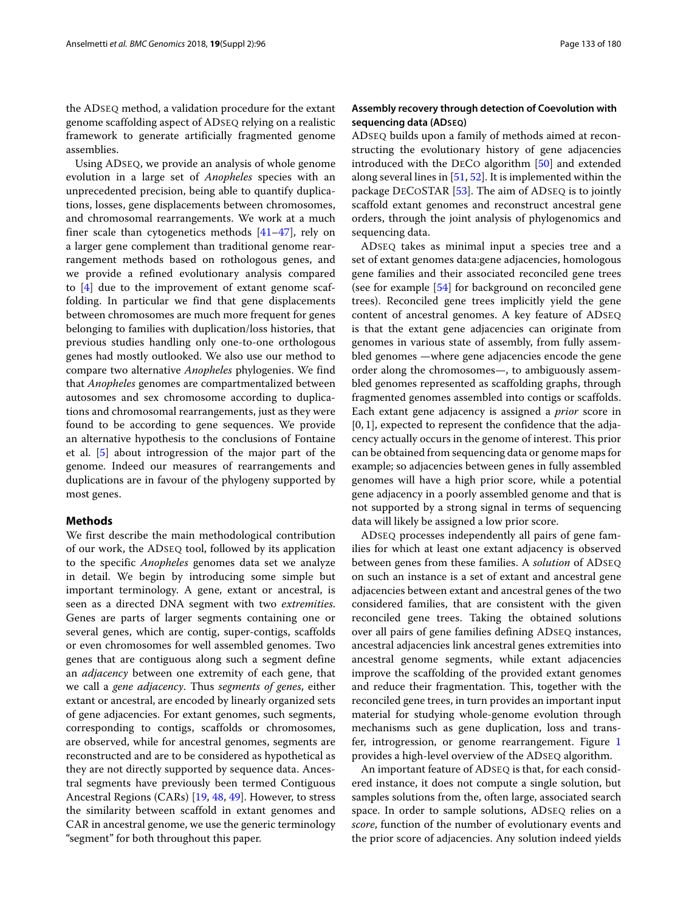the ADSEQ method, a validation procedure for the extant genome scaffolding aspect of ADSEQ relying on a realistic framework to generate artificially fragmented genome assemblies.

Using ADSEQ, we provide an analysis of whole genome evolution in a large set of *Anopheles* species with an unprecedented precision, being able to quantify duplications, losses, gene displacements between chromosomes, and chromosomal rearrangements. We work at a much finer scale than cytogenetics methods [\[41–](#page-14-0)[47\]](#page-14-1), rely on a larger gene complement than traditional genome rearrangement methods based on rothologous genes, and we provide a refined evolutionary analysis compared to [\[4\]](#page-13-3) due to the improvement of extant genome scaffolding. In particular we find that gene displacements between chromosomes are much more frequent for genes belonging to families with duplication/loss histories, that previous studies handling only one-to-one orthologous genes had mostly outlooked. We also use our method to compare two alternative *Anopheles* phylogenies. We find that *Anopheles* genomes are compartmentalized between autosomes and sex chromosome according to duplications and chromosomal rearrangements, just as they were found to be according to gene sequences. We provide an alternative hypothesis to the conclusions of Fontaine et al. [\[5\]](#page-13-4) about introgression of the major part of the genome. Indeed our measures of rearrangements and duplications are in favour of the phylogeny supported by most genes.

#### <span id="page-2-0"></span>**Methods**

We first describe the main methodological contribution of our work, the ADSEQ tool, followed by its application to the specific *Anopheles* genomes data set we analyze in detail. We begin by introducing some simple but important terminology. A gene, extant or ancestral, is seen as a directed DNA segment with two *extremities*. Genes are parts of larger segments containing one or several genes, which are contig, super-contigs, scaffolds or even chromosomes for well assembled genomes. Two genes that are contiguous along such a segment define an *adjacency* between one extremity of each gene, that we call a *gene adjacency*. Thus *segments of genes*, either extant or ancestral, are encoded by linearly organized sets of gene adjacencies. For extant genomes, such segments, corresponding to contigs, scaffolds or chromosomes, are observed, while for ancestral genomes, segments are reconstructed and are to be considered as hypothetical as they are not directly supported by sequence data. Ancestral segments have previously been termed Contiguous Ancestral Regions (CARs) [\[19,](#page-13-13) [48,](#page-14-2) [49\]](#page-14-3). However, to stress the similarity between scaffold in extant genomes and CAR in ancestral genome, we use the generic terminology "segment" for both throughout this paper.

## **Assembly recovery through detection of Coevolution with sequencing data (ADSEQ)**

ADSEQ builds upon a family of methods aimed at reconstructing the evolutionary history of gene adjacencies introduced with the DECO algorithm [\[50\]](#page-14-4) and extended along several lines in [\[51,](#page-14-5) [52\]](#page-14-6). It is implemented within the package DECOSTAR [\[53\]](#page-14-7). The aim of ADSEQ is to jointly scaffold extant genomes and reconstruct ancestral gene orders, through the joint analysis of phylogenomics and sequencing data.

ADSEQ takes as minimal input a species tree and a set of extant genomes data:gene adjacencies, homologous gene families and their associated reconciled gene trees (see for example [\[54\]](#page-14-8) for background on reconciled gene trees). Reconciled gene trees implicitly yield the gene content of ancestral genomes. A key feature of ADSEQ is that the extant gene adjacencies can originate from genomes in various state of assembly, from fully assembled genomes —where gene adjacencies encode the gene order along the chromosomes—, to ambiguously assembled genomes represented as scaffolding graphs, through fragmented genomes assembled into contigs or scaffolds. Each extant gene adjacency is assigned a *prior* score in [0, 1], expected to represent the confidence that the adjacency actually occurs in the genome of interest. This prior can be obtained from sequencing data or genome maps for example; so adjacencies between genes in fully assembled genomes will have a high prior score, while a potential gene adjacency in a poorly assembled genome and that is not supported by a strong signal in terms of sequencing data will likely be assigned a low prior score.

ADSEQ processes independently all pairs of gene families for which at least one extant adjacency is observed between genes from these families. A *solution* of ADSEQ on such an instance is a set of extant and ancestral gene adjacencies between extant and ancestral genes of the two considered families, that are consistent with the given reconciled gene trees. Taking the obtained solutions over all pairs of gene families defining ADSEQ instances, ancestral adjacencies link ancestral genes extremities into ancestral genome segments, while extant adjacencies improve the scaffolding of the provided extant genomes and reduce their fragmentation. This, together with the reconciled gene trees, in turn provides an important input material for studying whole-genome evolution through mechanisms such as gene duplication, loss and transfer, introgression, or genome rearrangement. Figure [1](#page-3-0) provides a high-level overview of the ADSEQ algorithm.

An important feature of ADSEQ is that, for each considered instance, it does not compute a single solution, but samples solutions from the, often large, associated search space. In order to sample solutions, ADSEQ relies on a *score*, function of the number of evolutionary events and the prior score of adjacencies. Any solution indeed yields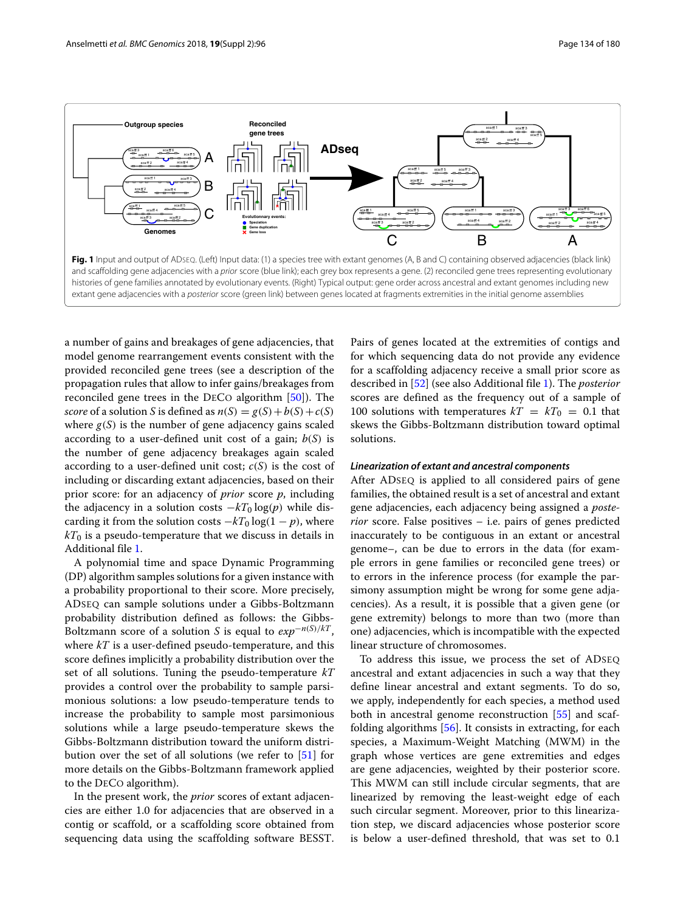

<span id="page-3-0"></span>a number of gains and breakages of gene adjacencies, that model genome rearrangement events consistent with the provided reconciled gene trees (see a description of the propagation rules that allow to infer gains/breakages from reconciled gene trees in the DECO algorithm [\[50\]](#page-14-4)). The *score* of a solution *S* is defined as  $n(S) = g(S) + b(S) + c(S)$ where  $g(S)$  is the number of gene adjacency gains scaled according to a user-defined unit cost of a gain;  $b(S)$  is the number of gene adjacency breakages again scaled according to a user-defined unit cost;  $c(S)$  is the cost of including or discarding extant adjacencies, based on their prior score: for an adjacency of *prior* score *p*, including the adjacency in a solution costs  $-kT_0 \log(p)$  while discarding it from the solution costs  $-kT_0 \log(1-p)$ , where  $kT_0$  is a pseudo-temperature that we discuss in details in Additional file [1.](#page-11-0)

A polynomial time and space Dynamic Programming (DP) algorithm samples solutions for a given instance with a probability proportional to their score. More precisely, ADSEQ can sample solutions under a Gibbs-Boltzmann probability distribution defined as follows: the Gibbs-Boltzmann score of a solution *S* is equal to  $exp^{-n(S)/kT}$ , where *kT* is a user-defined pseudo-temperature, and this score defines implicitly a probability distribution over the set of all solutions. Tuning the pseudo-temperature *kT* provides a control over the probability to sample parsimonious solutions: a low pseudo-temperature tends to increase the probability to sample most parsimonious solutions while a large pseudo-temperature skews the Gibbs-Boltzmann distribution toward the uniform distribution over the set of all solutions (we refer to [\[51\]](#page-14-5) for more details on the Gibbs-Boltzmann framework applied to the DECO algorithm).

In the present work, the *prior* scores of extant adjacencies are either 1.0 for adjacencies that are observed in a contig or scaffold, or a scaffolding score obtained from sequencing data using the scaffolding software BESST.

Pairs of genes located at the extremities of contigs and for which sequencing data do not provide any evidence for a scaffolding adjacency receive a small prior score as described in [\[52\]](#page-14-6) (see also Additional file [1\)](#page-11-0). The *posterior* scores are defined as the frequency out of a sample of 100 solutions with temperatures  $kT = kT_0 = 0.1$  that skews the Gibbs-Boltzmann distribution toward optimal solutions.

#### *Linearization of extant and ancestral components*

After ADSEQ is applied to all considered pairs of gene families, the obtained result is a set of ancestral and extant gene adjacencies, each adjacency being assigned a *posterior* score. False positives – i.e. pairs of genes predicted inaccurately to be contiguous in an extant or ancestral genome–, can be due to errors in the data (for example errors in gene families or reconciled gene trees) or to errors in the inference process (for example the parsimony assumption might be wrong for some gene adjacencies). As a result, it is possible that a given gene (or gene extremity) belongs to more than two (more than one) adjacencies, which is incompatible with the expected linear structure of chromosomes.

To address this issue, we process the set of ADSEQ ancestral and extant adjacencies in such a way that they define linear ancestral and extant segments. To do so, we apply, independently for each species, a method used both in ancestral genome reconstruction [\[55\]](#page-14-9) and scaffolding algorithms [\[56\]](#page-14-10). It consists in extracting, for each species, a Maximum-Weight Matching (MWM) in the graph whose vertices are gene extremities and edges are gene adjacencies, weighted by their posterior score. This MWM can still include circular segments, that are linearized by removing the least-weight edge of each such circular segment. Moreover, prior to this linearization step, we discard adjacencies whose posterior score is below a user-defined threshold, that was set to 0.1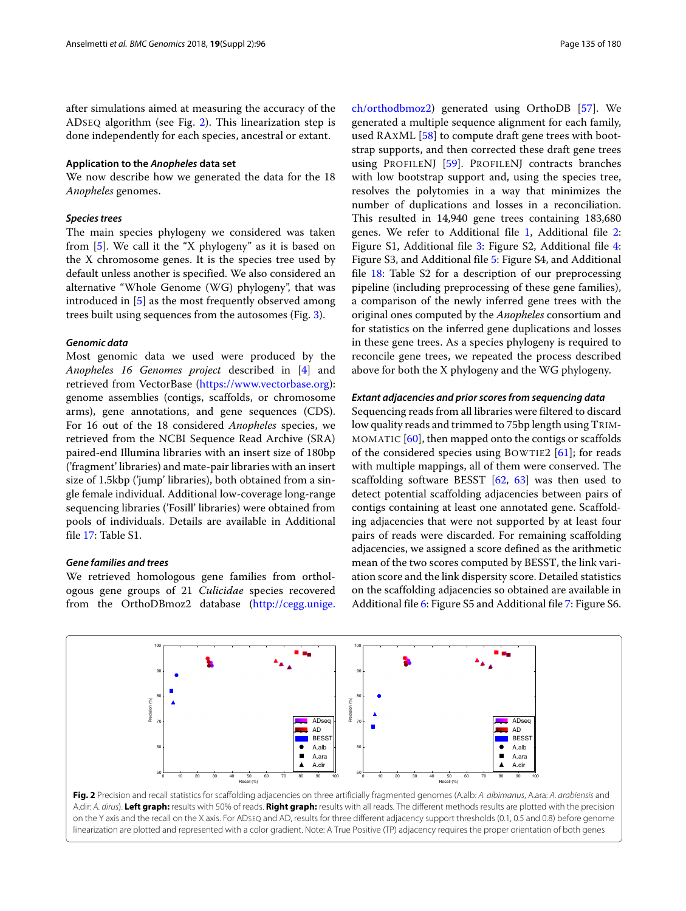after simulations aimed at measuring the accuracy of the ADSEQ algorithm (see Fig. [2\)](#page-4-0). This linearization step is done independently for each species, ancestral or extant.

#### **Application to the** *Anopheles* **data set**

We now describe how we generated the data for the 18 *Anopheles* genomes.

#### *Species trees*

The main species phylogeny we considered was taken from [\[5\]](#page-13-4). We call it the "X phylogeny" as it is based on the X chromosome genes. It is the species tree used by default unless another is specified. We also considered an alternative "Whole Genome (WG) phylogeny", that was introduced in [\[5\]](#page-13-4) as the most frequently observed among trees built using sequences from the autosomes (Fig. [3\)](#page-5-0).

#### *Genomic data*

Most genomic data we used were produced by the *Anopheles 16 Genomes project* described in [\[4\]](#page-13-3) and retrieved from VectorBase [\(https://www.vectorbase.org\)](https://www.vectorbase.org): genome assemblies (contigs, scaffolds, or chromosome arms), gene annotations, and gene sequences (CDS). For 16 out of the 18 considered *Anopheles* species, we retrieved from the NCBI Sequence Read Archive (SRA) paired-end Illumina libraries with an insert size of 180bp ('fragment' libraries) and mate-pair libraries with an insert size of 1.5kbp ('jump' libraries), both obtained from a single female individual. Additional low-coverage long-range sequencing libraries ('Fosill' libraries) were obtained from pools of individuals. Details are available in Additional file [17:](#page-12-0) Table S1.

#### *Gene families and trees*

We retrieved homologous gene families from orthologous gene groups of 21 *Culicidae* species recovered from the OrthoDBmoz2 database [\(http://cegg.unige.](http://cegg.unige.ch/orthodbmoz2) [ch/orthodbmoz2\)](http://cegg.unige.ch/orthodbmoz2) generated using OrthoDB [\[57\]](#page-14-11). We generated a multiple sequence alignment for each family, used RAXML [\[58\]](#page-14-12) to compute draft gene trees with bootstrap supports, and then corrected these draft gene trees using PROFILENJ [\[59\]](#page-14-13). PROFILENJ contracts branches with low bootstrap support and, using the species tree, resolves the polytomies in a way that minimizes the number of duplications and losses in a reconciliation. This resulted in 14,940 gene trees containing 183,680 genes. We refer to Additional file [1,](#page-11-0) Additional file [2:](#page-11-1) Figure S1, Additional file [3:](#page-11-2) Figure S2, Additional file [4:](#page-11-3) Figure S3, and Additional file [5:](#page-11-4) Figure S4, and Additional file [18:](#page-12-1) Table S2 for a description of our preprocessing pipeline (including preprocessing of these gene families), a comparison of the newly inferred gene trees with the original ones computed by the *Anopheles* consortium and for statistics on the inferred gene duplications and losses in these gene trees. As a species phylogeny is required to reconcile gene trees, we repeated the process described above for both the X phylogeny and the WG phylogeny.

#### *Extant adjacencies and prior scores from sequencing data*

Sequencing reads from all libraries were filtered to discard low quality reads and trimmed to 75bp length using TRIM-MOMATIC [\[60\]](#page-14-14), then mapped onto the contigs or scaffolds of the considered species using BOWTIE2 [\[61\]](#page-14-15); for reads with multiple mappings, all of them were conserved. The scaffolding software BESST [\[62,](#page-14-16) [63\]](#page-14-17) was then used to detect potential scaffolding adjacencies between pairs of contigs containing at least one annotated gene. Scaffolding adjacencies that were not supported by at least four pairs of reads were discarded. For remaining scaffolding adjacencies, we assigned a score defined as the arithmetic mean of the two scores computed by BESST, the link variation score and the link dispersity score. Detailed statistics on the scaffolding adjacencies so obtained are available in Additional file [6:](#page-11-5) Figure S5 and Additional file [7:](#page-11-6) Figure S6.



<span id="page-4-0"></span>A.dir: A. dirus). **Left graph:** results with 50% of reads. **Right graph:** results with all reads. The different methods results are plotted with the precision on the Y axis and the recall on the X axis. For ADSEQ and AD, results for three different adjacency support thresholds (0.1, 0.5 and 0.8) before genome linearization are plotted and represented with a color gradient. Note: A True Positive (TP) adjacency requires the proper orientation of both genes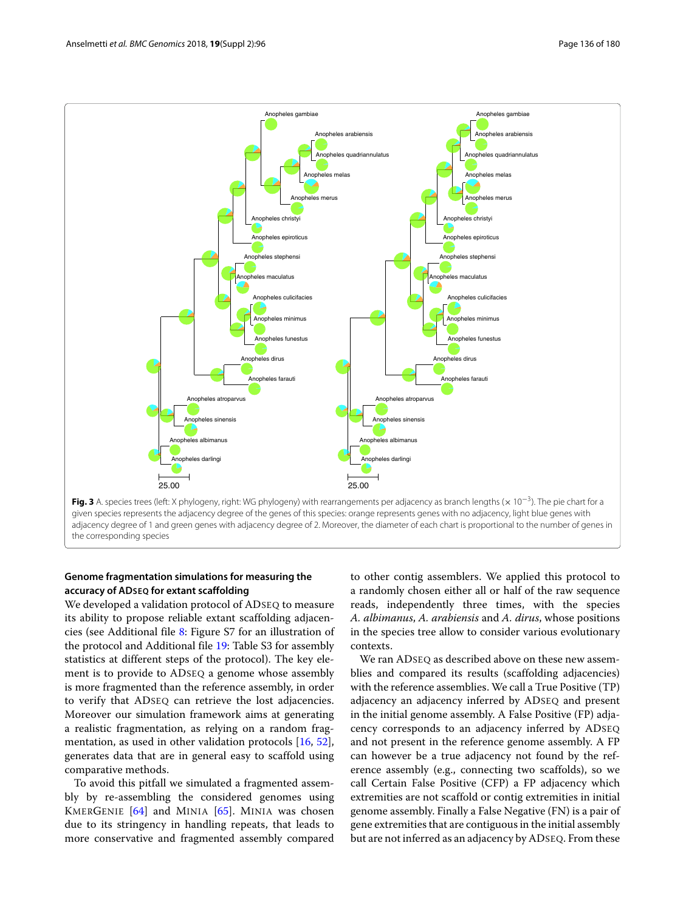

# <span id="page-5-0"></span>**Genome fragmentation simulations for measuring the accuracy of ADSEQ for extant scaffolding**

We developed a validation protocol of ADSEQ to measure its ability to propose reliable extant scaffolding adjacencies (see Additional file [8:](#page-11-7) Figure S7 for an illustration of the protocol and Additional file [19:](#page-12-2) Table S3 for assembly statistics at different steps of the protocol). The key element is to provide to ADSEQ a genome whose assembly is more fragmented than the reference assembly, in order to verify that ADSEQ can retrieve the lost adjacencies. Moreover our simulation framework aims at generating a realistic fragmentation, as relying on a random fragmentation, as used in other validation protocols [\[16,](#page-13-33) [52\]](#page-14-6), generates data that are in general easy to scaffold using comparative methods.

To avoid this pitfall we simulated a fragmented assembly by re-assembling the considered genomes using KMERGENIE [\[64\]](#page-14-18) and MINIA [\[65\]](#page-14-19). MINIA was chosen due to its stringency in handling repeats, that leads to more conservative and fragmented assembly compared to other contig assemblers. We applied this protocol to a randomly chosen either all or half of the raw sequence reads, independently three times, with the species *A. albimanus*, *A. arabiensis* and *A. dirus*, whose positions in the species tree allow to consider various evolutionary contexts.

We ran ADSEQ as described above on these new assemblies and compared its results (scaffolding adjacencies) with the reference assemblies. We call a True Positive (TP) adjacency an adjacency inferred by ADSEQ and present in the initial genome assembly. A False Positive (FP) adjacency corresponds to an adjacency inferred by ADSEQ and not present in the reference genome assembly. A FP can however be a true adjacency not found by the reference assembly (e.g., connecting two scaffolds), so we call Certain False Positive (CFP) a FP adjacency which extremities are not scaffold or contig extremities in initial genome assembly. Finally a False Negative (FN) is a pair of gene extremities that are contiguous in the initial assembly but are not inferred as an adjacency by ADSEQ. From these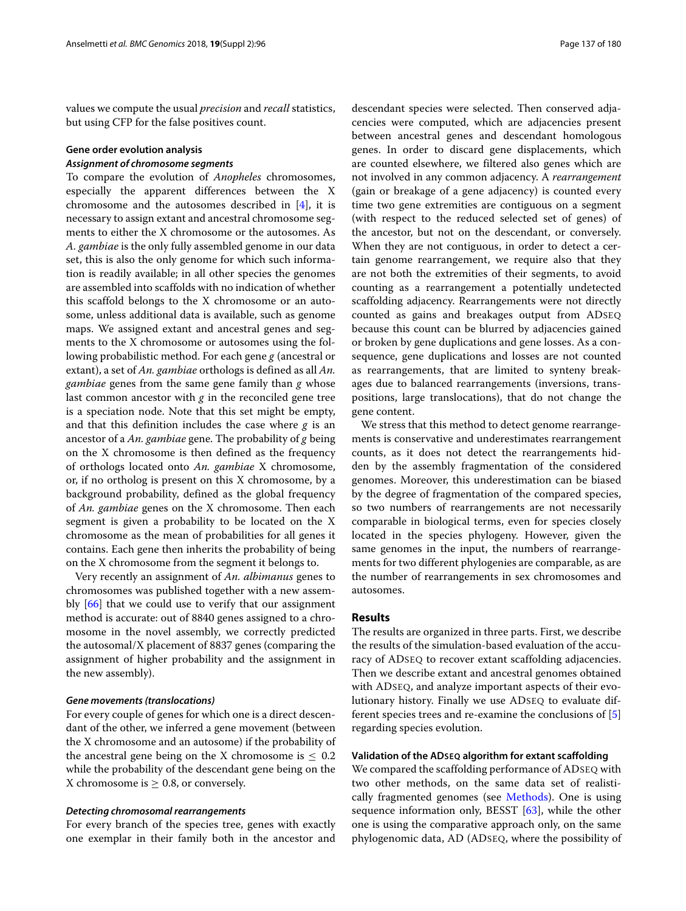values we compute the usual *precision* and *recall* statistics, but using CFP for the false positives count.

### **Gene order evolution analysis** *Assignment of chromosome segments*

To compare the evolution of *Anopheles* chromosomes, especially the apparent differences between the X chromosome and the autosomes described in  $[4]$ , it is necessary to assign extant and ancestral chromosome segments to either the X chromosome or the autosomes. As *A. gambiae* is the only fully assembled genome in our data set, this is also the only genome for which such information is readily available; in all other species the genomes are assembled into scaffolds with no indication of whether this scaffold belongs to the X chromosome or an autosome, unless additional data is available, such as genome maps. We assigned extant and ancestral genes and segments to the X chromosome or autosomes using the following probabilistic method. For each gene *g* (ancestral or extant), a set of *An. gambiae* orthologs is defined as all *An. gambiae* genes from the same gene family than *g* whose last common ancestor with *g* in the reconciled gene tree is a speciation node. Note that this set might be empty, and that this definition includes the case where *g* is an ancestor of a *An. gambiae* gene. The probability of *g* being on the X chromosome is then defined as the frequency of orthologs located onto *An. gambiae* X chromosome, or, if no ortholog is present on this X chromosome, by a background probability, defined as the global frequency of *An. gambiae* genes on the X chromosome. Then each segment is given a probability to be located on the X chromosome as the mean of probabilities for all genes it contains. Each gene then inherits the probability of being on the X chromosome from the segment it belongs to.

Very recently an assignment of *An. albimanus* genes to chromosomes was published together with a new assembly [\[66\]](#page-14-20) that we could use to verify that our assignment method is accurate: out of 8840 genes assigned to a chromosome in the novel assembly, we correctly predicted the autosomal/X placement of 8837 genes (comparing the assignment of higher probability and the assignment in the new assembly).

#### *Gene movements (translocations)*

For every couple of genes for which one is a direct descendant of the other, we inferred a gene movement (between the X chromosome and an autosome) if the probability of the ancestral gene being on the X chromosome is  $\leq 0.2$ while the probability of the descendant gene being on the X chromosome is  $\geq$  0.8, or conversely.

#### *Detecting chromosomal rearrangements*

For every branch of the species tree, genes with exactly one exemplar in their family both in the ancestor and descendant species were selected. Then conserved adjacencies were computed, which are adjacencies present between ancestral genes and descendant homologous genes. In order to discard gene displacements, which are counted elsewhere, we filtered also genes which are not involved in any common adjacency. A *rearrangement* (gain or breakage of a gene adjacency) is counted every time two gene extremities are contiguous on a segment (with respect to the reduced selected set of genes) of the ancestor, but not on the descendant, or conversely. When they are not contiguous, in order to detect a certain genome rearrangement, we require also that they are not both the extremities of their segments, to avoid counting as a rearrangement a potentially undetected scaffolding adjacency. Rearrangements were not directly counted as gains and breakages output from ADSEQ because this count can be blurred by adjacencies gained or broken by gene duplications and gene losses. As a consequence, gene duplications and losses are not counted as rearrangements, that are limited to synteny breakages due to balanced rearrangements (inversions, transpositions, large translocations), that do not change the gene content.

We stress that this method to detect genome rearrangements is conservative and underestimates rearrangement counts, as it does not detect the rearrangements hidden by the assembly fragmentation of the considered genomes. Moreover, this underestimation can be biased by the degree of fragmentation of the compared species, so two numbers of rearrangements are not necessarily comparable in biological terms, even for species closely located in the species phylogeny. However, given the same genomes in the input, the numbers of rearrangements for two different phylogenies are comparable, as are the number of rearrangements in sex chromosomes and autosomes.

#### **Results**

The results are organized in three parts. First, we describe the results of the simulation-based evaluation of the accuracy of ADSEQ to recover extant scaffolding adjacencies. Then we describe extant and ancestral genomes obtained with ADSEQ, and analyze important aspects of their evolutionary history. Finally we use ADSEQ to evaluate different species trees and re-examine the conclusions of [\[5\]](#page-13-4) regarding species evolution.

#### **Validation of the ADSEQ algorithm for extant scaffolding**

We compared the scaffolding performance of ADSEQ with two other methods, on the same data set of realistically fragmented genomes (see [Methods\)](#page-2-0). One is using sequence information only, BESST [\[63\]](#page-14-17), while the other one is using the comparative approach only, on the same phylogenomic data, AD (ADSEQ, where the possibility of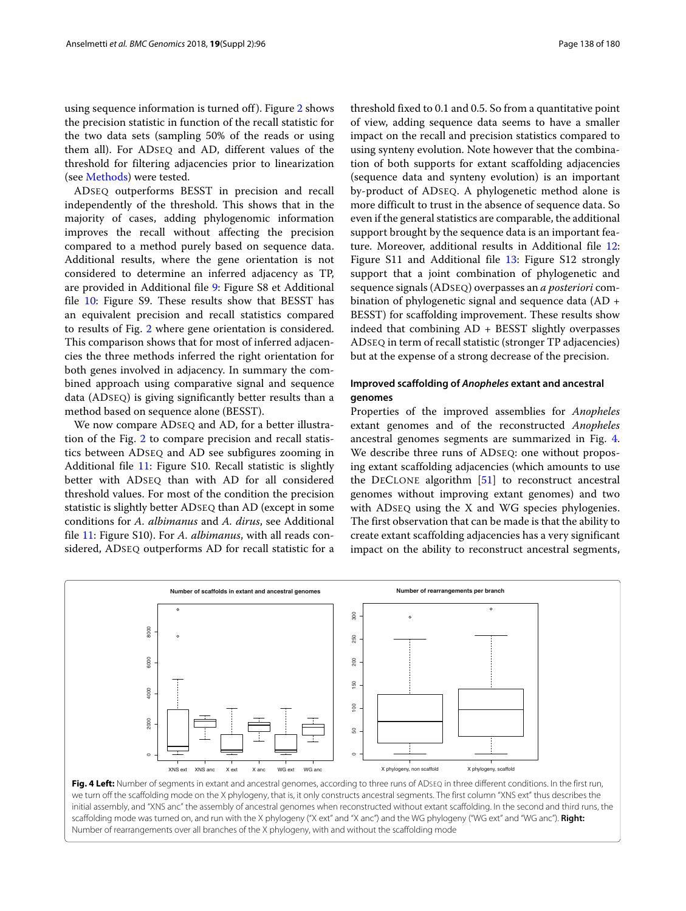using sequence information is turned off ). Figure [2](#page-4-0) shows the precision statistic in function of the recall statistic for the two data sets (sampling 50% of the reads or using them all). For ADSEQ and AD, different values of the threshold for filtering adjacencies prior to linearization (see [Methods\)](#page-2-0) were tested.

ADSEQ outperforms BESST in precision and recall independently of the threshold. This shows that in the majority of cases, adding phylogenomic information improves the recall without affecting the precision compared to a method purely based on sequence data. Additional results, where the gene orientation is not considered to determine an inferred adjacency as TP, are provided in Additional file [9:](#page-11-8) Figure S8 et Additional file [10:](#page-11-9) Figure S9. These results show that BESST has an equivalent precision and recall statistics compared to results of Fig. [2](#page-4-0) where gene orientation is considered. This comparison shows that for most of inferred adjacencies the three methods inferred the right orientation for both genes involved in adjacency. In summary the combined approach using comparative signal and sequence data (ADSEQ) is giving significantly better results than a method based on sequence alone (BESST).

We now compare ADSEQ and AD, for a better illustration of the Fig. [2](#page-4-0) to compare precision and recall statistics between ADSEQ and AD see subfigures zooming in Additional file [11:](#page-11-10) Figure S10. Recall statistic is slightly better with ADSEQ than with AD for all considered threshold values. For most of the condition the precision statistic is slightly better ADSEQ than AD (except in some conditions for *A. albimanus* and *A. dirus*, see Additional file [11:](#page-11-10) Figure S10). For *A. albimanus*, with all reads considered, ADSEQ outperforms AD for recall statistic for a threshold fixed to 0.1 and 0.5. So from a quantitative point of view, adding sequence data seems to have a smaller impact on the recall and precision statistics compared to using synteny evolution. Note however that the combination of both supports for extant scaffolding adjacencies (sequence data and synteny evolution) is an important by-product of ADSEQ. A phylogenetic method alone is more difficult to trust in the absence of sequence data. So even if the general statistics are comparable, the additional support brought by the sequence data is an important feature. Moreover, additional results in Additional file [12:](#page-11-11) Figure S11 and Additional file [13:](#page-12-3) Figure S12 strongly support that a joint combination of phylogenetic and sequence signals (ADSEQ) overpasses an *a posteriori* combination of phylogenetic signal and sequence data (AD + BESST) for scaffolding improvement. These results show indeed that combining AD + BESST slightly overpasses ADSEQ in term of recall statistic (stronger TP adjacencies) but at the expense of a strong decrease of the precision.

# **Improved scaffolding of** *Anopheles* **extant and ancestral genomes**

Properties of the improved assemblies for *Anopheles* extant genomes and of the reconstructed *Anopheles* ancestral genomes segments are summarized in Fig. [4.](#page-7-0) We describe three runs of ADSEQ: one without proposing extant scaffolding adjacencies (which amounts to use the DECLONE algorithm [\[51\]](#page-14-5) to reconstruct ancestral genomes without improving extant genomes) and two with ADSEQ using the X and WG species phylogenies. The first observation that can be made is that the ability to create extant scaffolding adjacencies has a very significant impact on the ability to reconstruct ancestral segments,



<span id="page-7-0"></span>Fig. 4 Left: Number of segments in extant and ancestral genomes, according to three runs of ADSEQ in three different conditions. In the first run, we turn off the scaffolding mode on the X phylogeny, that is, it only constructs ancestral segments. The first column "XNS ext" thus describes the initial assembly, and "XNS anc" the assembly of ancestral genomes when reconstructed without extant scaffolding. In the second and third runs, the scaffolding mode was turned on, and run with the X phylogeny ("X ext" and "X anc") and the WG phylogeny ("WG ext" and "WG anc"). **Right:** Number of rearrangements over all branches of the X phylogeny, with and without the scaffolding mode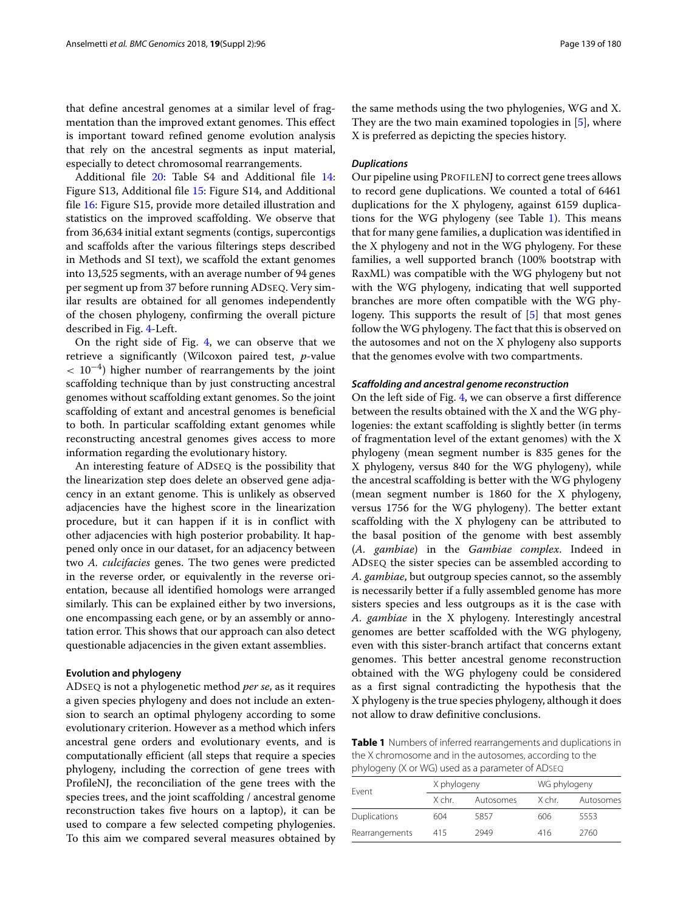that define ancestral genomes at a similar level of fragmentation than the improved extant genomes. This effect is important toward refined genome evolution analysis that rely on the ancestral segments as input material, especially to detect chromosomal rearrangements.

Additional file [20:](#page-12-4) Table S4 and Additional file [14:](#page-12-5) Figure S13, Additional file [15:](#page-12-6) Figure S14, and Additional file [16:](#page-12-7) Figure S15, provide more detailed illustration and statistics on the improved scaffolding. We observe that from 36,634 initial extant segments (contigs, supercontigs and scaffolds after the various filterings steps described in Methods and SI text), we scaffold the extant genomes into 13,525 segments, with an average number of 94 genes per segment up from 37 before running ADSEQ. Very similar results are obtained for all genomes independently of the chosen phylogeny, confirming the overall picture described in Fig. [4-](#page-7-0)Left.

On the right side of Fig. [4,](#page-7-0) we can observe that we retrieve a significantly (Wilcoxon paired test, *p*-value  $< 10^{-4}$ ) higher number of rearrangements by the joint scaffolding technique than by just constructing ancestral genomes without scaffolding extant genomes. So the joint scaffolding of extant and ancestral genomes is beneficial to both. In particular scaffolding extant genomes while reconstructing ancestral genomes gives access to more information regarding the evolutionary history.

An interesting feature of ADSEQ is the possibility that the linearization step does delete an observed gene adjacency in an extant genome. This is unlikely as observed adjacencies have the highest score in the linearization procedure, but it can happen if it is in conflict with other adjacencies with high posterior probability. It happened only once in our dataset, for an adjacency between two *A. culcifacies* genes. The two genes were predicted in the reverse order, or equivalently in the reverse orientation, because all identified homologs were arranged similarly. This can be explained either by two inversions, one encompassing each gene, or by an assembly or annotation error. This shows that our approach can also detect questionable adjacencies in the given extant assemblies.

#### **Evolution and phylogeny**

ADSEQ is not a phylogenetic method *per se*, as it requires a given species phylogeny and does not include an extension to search an optimal phylogeny according to some evolutionary criterion. However as a method which infers ancestral gene orders and evolutionary events, and is computationally efficient (all steps that require a species phylogeny, including the correction of gene trees with ProfileNJ, the reconciliation of the gene trees with the species trees, and the joint scaffolding / ancestral genome reconstruction takes five hours on a laptop), it can be used to compare a few selected competing phylogenies. To this aim we compared several measures obtained by the same methods using the two phylogenies, WG and X. They are the two main examined topologies in [\[5\]](#page-13-4), where X is preferred as depicting the species history.

#### *Duplications*

Our pipeline using PROFILENJ to correct gene trees allows to record gene duplications. We counted a total of 6461 duplications for the X phylogeny, against 6159 duplications for the WG phylogeny (see Table [1\)](#page-8-0). This means that for many gene families, a duplication was identified in the X phylogeny and not in the WG phylogeny. For these families, a well supported branch (100% bootstrap with RaxML) was compatible with the WG phylogeny but not with the WG phylogeny, indicating that well supported branches are more often compatible with the WG phylogeny. This supports the result of [\[5\]](#page-13-4) that most genes follow the WG phylogeny. The fact that this is observed on the autosomes and not on the X phylogeny also supports that the genomes evolve with two compartments.

#### *Scaffolding and ancestral genome reconstruction*

On the left side of Fig. [4,](#page-7-0) we can observe a first difference between the results obtained with the X and the WG phylogenies: the extant scaffolding is slightly better (in terms of fragmentation level of the extant genomes) with the X phylogeny (mean segment number is 835 genes for the X phylogeny, versus 840 for the WG phylogeny), while the ancestral scaffolding is better with the WG phylogeny (mean segment number is 1860 for the X phylogeny, versus 1756 for the WG phylogeny). The better extant scaffolding with the X phylogeny can be attributed to the basal position of the genome with best assembly (*A. gambiae*) in the *Gambiae complex*. Indeed in ADSEQ the sister species can be assembled according to *A. gambiae*, but outgroup species cannot, so the assembly is necessarily better if a fully assembled genome has more sisters species and less outgroups as it is the case with *A. gambiae* in the X phylogeny. Interestingly ancestral genomes are better scaffolded with the WG phylogeny, even with this sister-branch artifact that concerns extant genomes. This better ancestral genome reconstruction obtained with the WG phylogeny could be considered as a first signal contradicting the hypothesis that the X phylogeny is the true species phylogeny, although it does not allow to draw definitive conclusions.

<span id="page-8-0"></span>**Table 1** Numbers of inferred rearrangements and duplications in the X chromosome and in the autosomes, according to the phylogeny (X or WG) used as a parameter of ADSEQ

| Event          | X phylogeny |           | WG phylogeny |           |
|----------------|-------------|-----------|--------------|-----------|
|                | X chr.      | Autosomes | X chr.       | Autosomes |
| Duplications   | 604         | 5857      | 606          | 5553      |
| Rearrangements | 415         | 2949      | 416          | 2760      |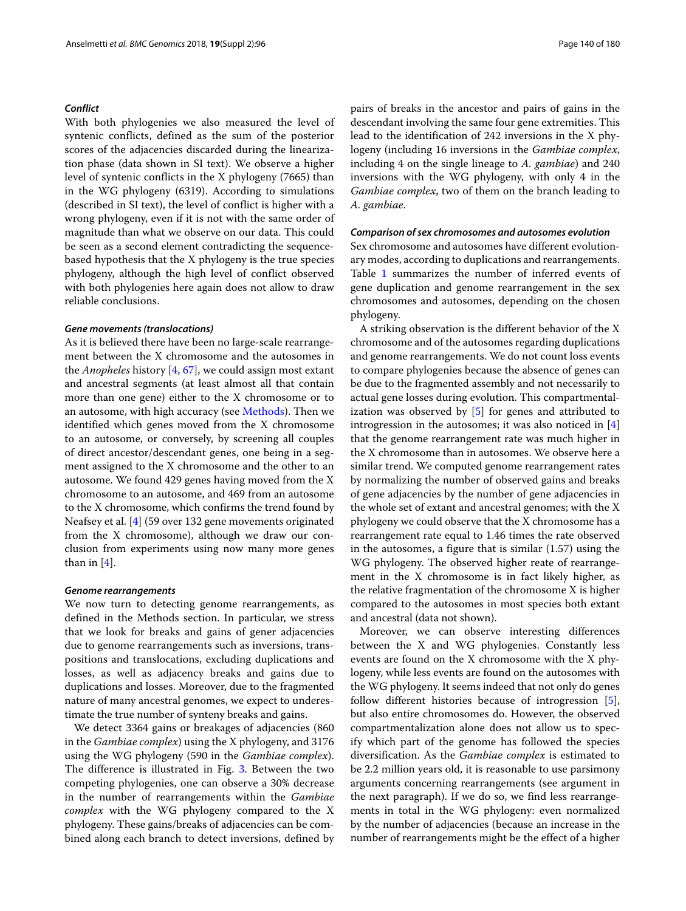#### *Conflict*

With both phylogenies we also measured the level of syntenic conflicts, defined as the sum of the posterior scores of the adjacencies discarded during the linearization phase (data shown in SI text). We observe a higher level of syntenic conflicts in the X phylogeny (7665) than in the WG phylogeny (6319). According to simulations (described in SI text), the level of conflict is higher with a wrong phylogeny, even if it is not with the same order of magnitude than what we observe on our data. This could be seen as a second element contradicting the sequencebased hypothesis that the X phylogeny is the true species phylogeny, although the high level of conflict observed with both phylogenies here again does not allow to draw reliable conclusions.

#### *Gene movements (translocations)*

As it is believed there have been no large-scale rearrangement between the X chromosome and the autosomes in the *Anopheles* history [\[4,](#page-13-3) [67\]](#page-14-21), we could assign most extant and ancestral segments (at least almost all that contain more than one gene) either to the X chromosome or to an autosome, with high accuracy (see [Methods\)](#page-2-0). Then we identified which genes moved from the X chromosome to an autosome, or conversely, by screening all couples of direct ancestor/descendant genes, one being in a segment assigned to the X chromosome and the other to an autosome. We found 429 genes having moved from the X chromosome to an autosome, and 469 from an autosome to the X chromosome, which confirms the trend found by Neafsey et al. [\[4\]](#page-13-3) (59 over 132 gene movements originated from the X chromosome), although we draw our conclusion from experiments using now many more genes than in  $[4]$ .

#### *Genome rearrangements*

We now turn to detecting genome rearrangements, as defined in the Methods section. In particular, we stress that we look for breaks and gains of gener adjacencies due to genome rearrangements such as inversions, transpositions and translocations, excluding duplications and losses, as well as adjacency breaks and gains due to duplications and losses. Moreover, due to the fragmented nature of many ancestral genomes, we expect to underestimate the true number of synteny breaks and gains.

We detect 3364 gains or breakages of adjacencies (860 in the *Gambiae complex*) using the X phylogeny, and 3176 using the WG phylogeny (590 in the *Gambiae complex*). The difference is illustrated in Fig. [3.](#page-5-0) Between the two competing phylogenies, one can observe a 30% decrease in the number of rearrangements within the *Gambiae complex* with the WG phylogeny compared to the X phylogeny. These gains/breaks of adjacencies can be combined along each branch to detect inversions, defined by pairs of breaks in the ancestor and pairs of gains in the descendant involving the same four gene extremities. This lead to the identification of 242 inversions in the X phylogeny (including 16 inversions in the *Gambiae complex*, including 4 on the single lineage to *A. gambiae*) and 240 inversions with the WG phylogeny, with only 4 in the *Gambiae complex*, two of them on the branch leading to *A. gambiae*.

#### *Comparison of sex chromosomes and autosomes evolution*

Sex chromosome and autosomes have different evolutionary modes, according to duplications and rearrangements. Table [1](#page-8-0) summarizes the number of inferred events of gene duplication and genome rearrangement in the sex chromosomes and autosomes, depending on the chosen phylogeny.

A striking observation is the different behavior of the X chromosome and of the autosomes regarding duplications and genome rearrangements. We do not count loss events to compare phylogenies because the absence of genes can be due to the fragmented assembly and not necessarily to actual gene losses during evolution. This compartmentalization was observed by [\[5\]](#page-13-4) for genes and attributed to introgression in the autosomes; it was also noticed in [\[4\]](#page-13-3) that the genome rearrangement rate was much higher in the X chromosome than in autosomes. We observe here a similar trend. We computed genome rearrangement rates by normalizing the number of observed gains and breaks of gene adjacencies by the number of gene adjacencies in the whole set of extant and ancestral genomes; with the X phylogeny we could observe that the X chromosome has a rearrangement rate equal to 1.46 times the rate observed in the autosomes, a figure that is similar (1.57) using the WG phylogeny. The observed higher reate of rearrangement in the X chromosome is in fact likely higher, as the relative fragmentation of the chromosome X is higher compared to the autosomes in most species both extant and ancestral (data not shown).

Moreover, we can observe interesting differences between the X and WG phylogenies. Constantly less events are found on the X chromosome with the X phylogeny, while less events are found on the autosomes with the WG phylogeny. It seems indeed that not only do genes follow different histories because of introgression [\[5\]](#page-13-4), but also entire chromosomes do. However, the observed compartmentalization alone does not allow us to specify which part of the genome has followed the species diversification. As the *Gambiae complex* is estimated to be 2.2 million years old, it is reasonable to use parsimony arguments concerning rearrangements (see argument in the next paragraph). If we do so, we find less rearrangements in total in the WG phylogeny: even normalized by the number of adjacencies (because an increase in the number of rearrangements might be the effect of a higher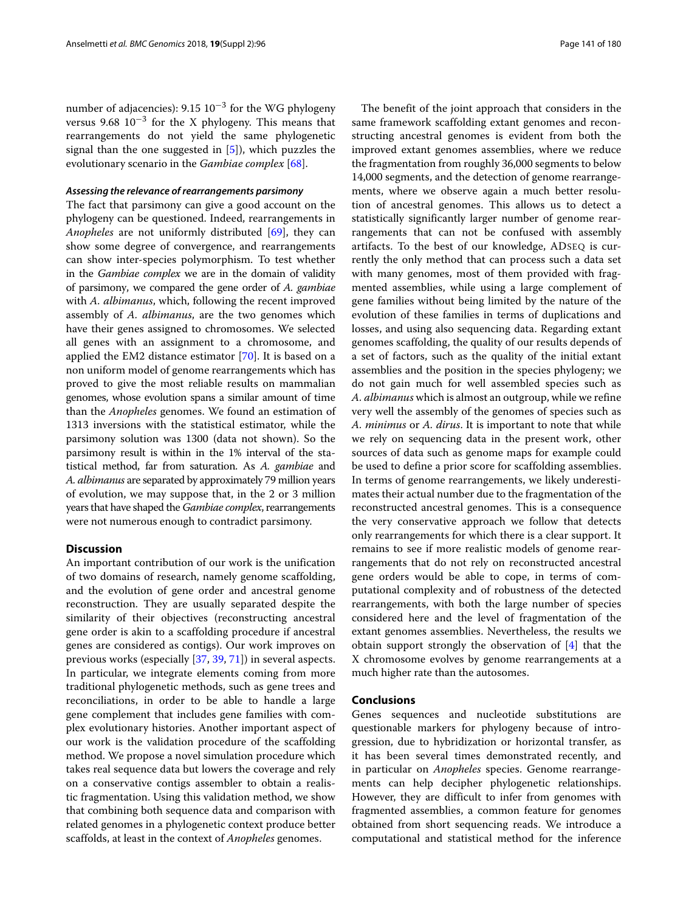number of adjacencies): 9.15 10−<sup>3</sup> for the WG phylogeny versus 9.68  $10^{-3}$  for the X phylogeny. This means that rearrangements do not yield the same phylogenetic signal than the one suggested in [\[5\]](#page-13-4)), which puzzles the evolutionary scenario in the *Gambiae complex* [\[68\]](#page-14-22).

#### *Assessing the relevance of rearrangements parsimony*

The fact that parsimony can give a good account on the phylogeny can be questioned. Indeed, rearrangements in *Anopheles* are not uniformly distributed [\[69\]](#page-14-23), they can show some degree of convergence, and rearrangements can show inter-species polymorphism. To test whether in the *Gambiae complex* we are in the domain of validity of parsimony, we compared the gene order of *A. gambiae* with *A. albimanus*, which, following the recent improved assembly of *A. albimanus*, are the two genomes which have their genes assigned to chromosomes. We selected all genes with an assignment to a chromosome, and applied the EM2 distance estimator  $[70]$ . It is based on a non uniform model of genome rearrangements which has proved to give the most reliable results on mammalian genomes, whose evolution spans a similar amount of time than the *Anopheles* genomes. We found an estimation of 1313 inversions with the statistical estimator, while the parsimony solution was 1300 (data not shown). So the parsimony result is within in the 1% interval of the statistical method, far from saturation. As *A. gambiae* and *A. albimanus* are separated by approximately 79 million years of evolution, we may suppose that, in the 2 or 3 million years that have shaped the *Gambiae complex*, rearrangements were not numerous enough to contradict parsimony.

#### **Discussion**

An important contribution of our work is the unification of two domains of research, namely genome scaffolding, and the evolution of gene order and ancestral genome reconstruction. They are usually separated despite the similarity of their objectives (reconstructing ancestral gene order is akin to a scaffolding procedure if ancestral genes are considered as contigs). Our work improves on previous works (especially [\[37,](#page-13-28) [39,](#page-13-26) [71\]](#page-14-25)) in several aspects. In particular, we integrate elements coming from more traditional phylogenetic methods, such as gene trees and reconciliations, in order to be able to handle a large gene complement that includes gene families with complex evolutionary histories. Another important aspect of our work is the validation procedure of the scaffolding method. We propose a novel simulation procedure which takes real sequence data but lowers the coverage and rely on a conservative contigs assembler to obtain a realistic fragmentation. Using this validation method, we show that combining both sequence data and comparison with related genomes in a phylogenetic context produce better scaffolds, at least in the context of *Anopheles* genomes.

The benefit of the joint approach that considers in the same framework scaffolding extant genomes and reconstructing ancestral genomes is evident from both the improved extant genomes assemblies, where we reduce the fragmentation from roughly 36,000 segments to below 14,000 segments, and the detection of genome rearrangements, where we observe again a much better resolution of ancestral genomes. This allows us to detect a statistically significantly larger number of genome rearrangements that can not be confused with assembly artifacts. To the best of our knowledge, ADSEQ is currently the only method that can process such a data set with many genomes, most of them provided with fragmented assemblies, while using a large complement of gene families without being limited by the nature of the evolution of these families in terms of duplications and losses, and using also sequencing data. Regarding extant genomes scaffolding, the quality of our results depends of a set of factors, such as the quality of the initial extant assemblies and the position in the species phylogeny; we do not gain much for well assembled species such as *A. albimanus* which is almost an outgroup, while we refine very well the assembly of the genomes of species such as *A. minimus* or *A. dirus*. It is important to note that while we rely on sequencing data in the present work, other sources of data such as genome maps for example could be used to define a prior score for scaffolding assemblies. In terms of genome rearrangements, we likely underestimates their actual number due to the fragmentation of the reconstructed ancestral genomes. This is a consequence the very conservative approach we follow that detects only rearrangements for which there is a clear support. It remains to see if more realistic models of genome rearrangements that do not rely on reconstructed ancestral gene orders would be able to cope, in terms of computational complexity and of robustness of the detected rearrangements, with both the large number of species considered here and the level of fragmentation of the extant genomes assemblies. Nevertheless, the results we obtain support strongly the observation of [\[4\]](#page-13-3) that the X chromosome evolves by genome rearrangements at a much higher rate than the autosomes.

#### **Conclusions**

Genes sequences and nucleotide substitutions are questionable markers for phylogeny because of introgression, due to hybridization or horizontal transfer, as it has been several times demonstrated recently, and in particular on *Anopheles* species. Genome rearrangements can help decipher phylogenetic relationships. However, they are difficult to infer from genomes with fragmented assemblies, a common feature for genomes obtained from short sequencing reads. We introduce a computational and statistical method for the inference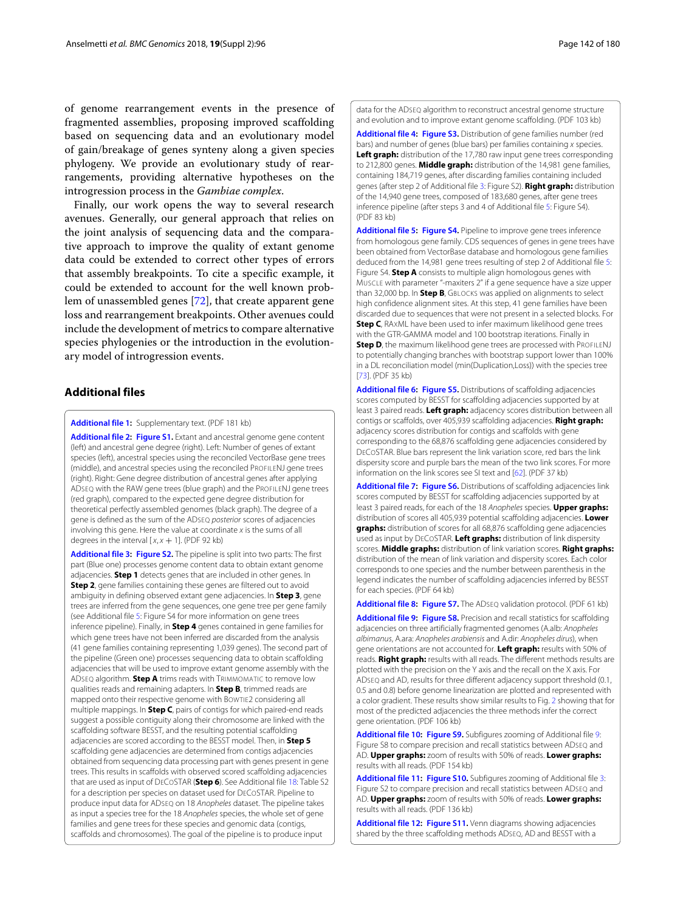of genome rearrangement events in the presence of fragmented assemblies, proposing improved scaffolding based on sequencing data and an evolutionary model of gain/breakage of genes synteny along a given species phylogeny. We provide an evolutionary study of rearrangements, providing alternative hypotheses on the introgression process in the *Gambiae complex*.

Finally, our work opens the way to several research avenues. Generally, our general approach that relies on the joint analysis of sequencing data and the comparative approach to improve the quality of extant genome data could be extended to correct other types of errors that assembly breakpoints. To cite a specific example, it could be extended to account for the well known problem of unassembled genes [\[72\]](#page-14-26), that create apparent gene loss and rearrangement breakpoints. Other avenues could include the development of metrics to compare alternative species phylogenies or the introduction in the evolutionary model of introgression events.

### **Additional files**

<span id="page-11-0"></span>**[Additional file 1:](https://doi.org/10.1186/s12864-018-4466-7)** Supplementary text. (PDF 181 kb)

<span id="page-11-1"></span>**[Additional file 2:](https://doi.org/10.1186/s12864-018-4466-7) [Figure S1.](https://doi.org/10.1186/s12864-018-4466-7pdf)** Extant and ancestral genome gene content (left) and ancestral gene degree (right). Left: Number of genes of extant species (left), ancestral species using the reconciled VectorBase gene trees (middle), and ancestral species using the reconciled PROFILENJ gene trees (right). Right: Gene degree distribution of ancestral genes after applying ADSEQ with the RAW gene trees (blue graph) and the PROFILENJ gene trees (red graph), compared to the expected gene degree distribution for theoretical perfectly assembled genomes (black graph). The degree of a gene is defined as the sum of the ADSEQ posterior scores of adjacencies involving this gene. Here the value at coordinate  $x$  is the sums of all degrees in the interval  $[x, x + 1]$ . (PDF 92 kb)

<span id="page-11-2"></span>**[Additional file 3:](https://doi.org/10.1186/s12864-018-4466-7) [Figure S2.](https://doi.org/10.1186/s12864-018-4466-7pdf)** The pipeline is split into two parts: The first part (Blue one) processes genome content data to obtain extant genome adjacencies. **Step 1** detects genes that are included in other genes. In **Step 2**, gene families containing these genes are filtered out to avoid ambiguity in defining observed extant gene adjacencies. In **Step 3**, gene trees are inferred from the gene sequences, one gene tree per gene family (see Additional file [5:](#page-11-4) Figure S4 for more information on gene trees inference pipeline). Finally, in **Step 4** genes contained in gene families for which gene trees have not been inferred are discarded from the analysis (41 gene families containing representing 1,039 genes). The second part of the pipeline (Green one) processes sequencing data to obtain scaffolding adjacencies that will be used to improve extant genome assembly with the ADSEQ algorithm. **Step A** trims reads with TRIMMOMATIC to remove low qualities reads and remaining adapters. In **Step B**, trimmed reads are mapped onto their respective genome with BOWTIE2 considering all multiple mappings. In **Step C**, pairs of contigs for which paired-end reads suggest a possible contiguity along their chromosome are linked with the scaffolding software BESST, and the resulting potential scaffolding adjacencies are scored according to the BESST model. Then, in **Step 5** scaffolding gene adjacencies are determined from contigs adjacencies obtained from sequencing data processing part with genes present in gene trees. This results in scaffolds with observed scored scaffolding adjacencies that are used as input of DECOSTAR (**Step 6**). See Additional file [18:](#page-12-1) Table S2 for a description per species on dataset used for DECOSTAR. Pipeline to produce input data for ADSEQ on 18 Anopheles dataset. The pipeline takes as input a species tree for the 18 Anopheles species, the whole set of gene families and gene trees for these species and genomic data (contigs, scaffolds and chromosomes). The goal of the pipeline is to produce input

data for the ADSEQ algorithm to reconstruct ancestral genome structure and evolution and to improve extant genome scaffolding. (PDF 103 kb)

<span id="page-11-3"></span>**[Additional file 4:](https://doi.org/10.1186/s12864-018-4466-7) [Figure S3.](https://doi.org/10.1186/s12864-018-4466-7pdf)** Distribution of gene families number (red bars) and number of genes (blue bars) per families containing x species. **Left graph:** distribution of the 17,780 raw input gene trees corresponding to 212,800 genes. **Middle graph:** distribution of the 14,981 gene families, containing 184,719 genes, after discarding families containing included genes (after step 2 of Additional file [3:](#page-11-2) Figure S2). **Right graph:** distribution of the 14,940 gene trees, composed of 183,680 genes, after gene trees inference pipeline (after steps 3 and 4 of Additional file [5:](#page-11-4) Figure S4). (PDF 83 kb)

<span id="page-11-4"></span>**[Additional file 5:](https://doi.org/10.1186/s12864-018-4466-7) [Figure S4.](https://doi.org/10.1186/s12864-018-4466-7pdf)** Pipeline to improve gene trees inference from homologous gene family. CDS sequences of genes in gene trees have been obtained from VectorBase database and homologous gene families deduced from the 14,981 gene trees resulting of step 2 of Additional file [5:](#page-11-4) Figure S4. **Step A** consists to multiple align homologous genes with MUSCLE with parameter "-maxiters 2" if a gene sequence have a size upper than 32,000 bp. In **Step B**, GBLOCKS was applied on alignments to select high confidence alignment sites. At this step, 41 gene families have been discarded due to sequences that were not present in a selected blocks. For **Step C**, RAXML have been used to infer maximum likelihood gene trees with the GTR-GAMMA model and 100 bootstrap iterations. Finally in **Step D**, the maximum likelihood gene trees are processed with PROFILENJ to potentially changing branches with bootstrap support lower than 100% in a DL reconciliation model (min(Duplication,Loss)) with the species tree [\[73\]](#page-14-27). (PDF 35 kb)

<span id="page-11-5"></span>**[Additional file 6:](https://doi.org/10.1186/s12864-018-4466-7) [Figure S5.](https://doi.org/10.1186/s12864-018-4466-7pdf)** Distributions of scaffolding adjacencies scores computed by BESST for scaffolding adjacencies supported by at least 3 paired reads. **Left graph:** adjacency scores distribution between all contigs or scaffolds, over 405,939 scaffolding adjacencies. **Right graph:** adjacency scores distribution for contigs and scaffolds with gene corresponding to the 68,876 scaffolding gene adjacencies considered by DECOSTAR. Blue bars represent the link variation score, red bars the link dispersity score and purple bars the mean of the two link scores. For more information on the link scores see SI text and [\[62\]](#page-14-16). (PDF 37 kb)

<span id="page-11-6"></span>**[Additional file 7:](https://doi.org/10.1186/s12864-018-4466-7) [Figure S6.](https://doi.org/10.1186/s12864-018-4466-7pdf)** Distributions of scaffolding adjacencies link scores computed by BESST for scaffolding adjacencies supported by at least 3 paired reads, for each of the 18 Anopheles species. **Upper graphs:** distribution of scores all 405,939 potential scaffolding adjacencies. **Lower graphs:** distribution of scores for all 68,876 scaffolding gene adjacencies used as input by DECOSTAR. **Left graphs:** distribution of link dispersity scores. **Middle graphs:** distribution of link variation scores. **Right graphs:** distribution of the mean of link variation and dispersity scores. Each color corresponds to one species and the number between parenthesis in the legend indicates the number of scaffolding adjacencies inferred by BESST for each species. (PDF 64 kb)

<span id="page-11-7"></span>**[Additional file 8:](https://doi.org/10.1186/s12864-018-4466-7) [Figure S7.](https://doi.org/10.1186/s12864-018-4466-7pdf)** The ADSEQ validation protocol. (PDF 61 kb)

<span id="page-11-8"></span>**[Additional file 9:](https://doi.org/10.1186/s12864-018-4466-7) [Figure S8.](https://doi.org/10.1186/s12864-018-4466-7pdf)** Precision and recall statistics for scaffolding adjacencies on three artificially fragmented genomes (A.alb: Anopheles albimanus, A.ara: Anopheles arabiensis and A.dir: Anopheles dirus), when gene orientations are not accounted for. **Left graph:** results with 50% of reads. **Right graph:** results with all reads. The different methods results are plotted with the precision on the Y axis and the recall on the X axis. For ADSEQ and AD, results for three different adjacency support threshold (0.1, 0.5 and 0.8) before genome linearization are plotted and represented with a color gradient. These results show similar results to Fig. [2](#page-4-0) showing that for most of the predicted adjacencies the three methods infer the correct gene orientation. (PDF 106 kb)

<span id="page-11-9"></span>**[Additional file 10:](https://doi.org/10.1186/s12864-018-4466-7) [Figure S9.](https://doi.org/10.1186/s12864-018-4466-7pdf)** Subfigures zooming of Additional file [9:](#page-11-8) Figure S8 to compare precision and recall statistics between ADSEQ and AD. **Upper graphs:** zoom of results with 50% of reads. **Lower graphs:** results with all reads. (PDF 154 kb)

<span id="page-11-10"></span>**[Additional file 11:](https://doi.org/10.1186/s12864-018-4466-7) [Figure S10.](https://doi.org/10.1186/s12864-018-4466-7pdf)** Subfigures zooming of Additional file [3:](#page-11-2) Figure S2 to compare precision and recall statistics between ADSEQ and AD. **Upper graphs:** zoom of results with 50% of reads. **Lower graphs:** results with all reads. (PDF 136 kb)

<span id="page-11-11"></span>**[Additional file 12:](https://doi.org/10.1186/s12864-018-4466-7) [Figure S11.](https://doi.org/10.1186/s12864-018-4466-7pdf)** Venn diagrams showing adjacencies shared by the three scaffolding methods ADSEQ, AD and BESST with a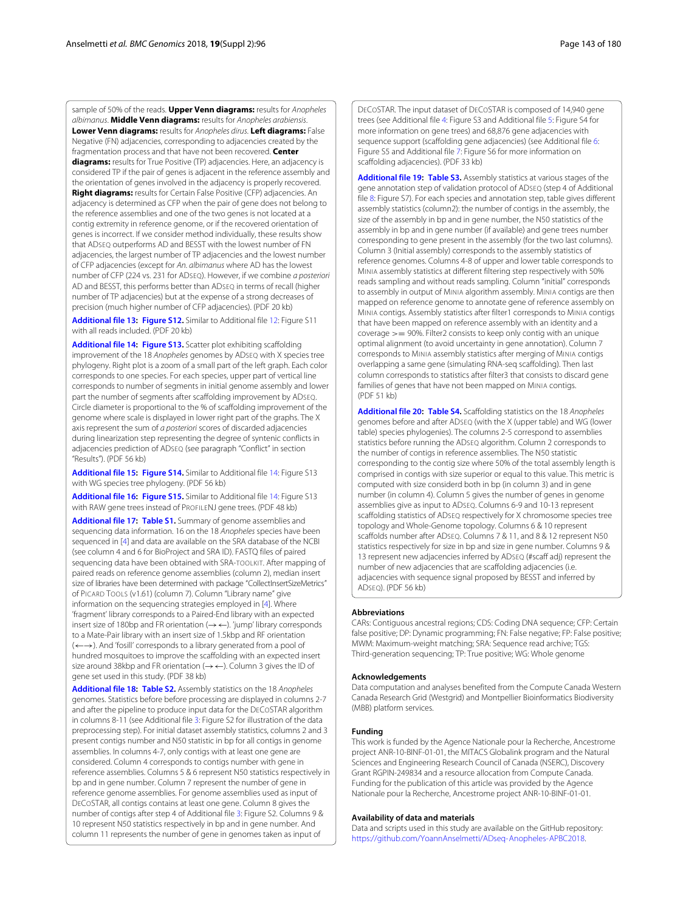sample of 50% of the reads. **Upper Venn diagrams:** results for Anopheles albimanus. **Middle Venn diagrams:** results for Anopheles arabiensis. **Lower Venn diagrams:** results for Anopheles dirus. **Left diagrams:** False Negative (FN) adjacencies, corresponding to adjacencies created by the fragmentation process and that have not been recovered. **Center diagrams:** results for True Positive (TP) adjacencies. Here, an adjacency is considered TP if the pair of genes is adjacent in the reference assembly and the orientation of genes involved in the adjacency is properly recovered. **Right diagrams:** results for Certain False Positive (CFP) adjacencies. An adjacency is determined as CFP when the pair of gene does not belong to the reference assemblies and one of the two genes is not located at a contig extremity in reference genome, or if the recovered orientation of genes is incorrect. If we consider method individually, these results show that ADSEQ outperforms AD and BESST with the lowest number of FN adjacencies, the largest number of TP adjacencies and the lowest number of CFP adjacencies (except for An. albimanus where AD has the lowest number of CFP (224 vs. 231 for ADSEQ). However, if we combine a posteriori AD and BESST, this performs better than ADSEQ in terms of recall (higher number of TP adjacencies) but at the expense of a strong decreases of precision (much higher number of CFP adjacencies). (PDF 20 kb)

<span id="page-12-3"></span>**[Additional file 13:](https://doi.org/10.1186/s12864-018-4466-7) [Figure S12.](https://doi.org/10.1186/s12864-018-4466-7pdf)** Similar to Additional file [12:](#page-11-11) Figure S11 with all reads included. (PDF 20 kb)

<span id="page-12-5"></span>**[Additional file 14:](https://doi.org/10.1186/s12864-018-4466-7) [Figure S13.](https://doi.org/10.1186/s12864-018-4466-7pdf)** Scatter plot exhibiting scaffolding improvement of the 18 Anopheles genomes by ADSEQ with X species tree phylogeny. Right plot is a zoom of a small part of the left graph. Each color corresponds to one species. For each species, upper part of vertical line corresponds to number of segments in initial genome assembly and lower part the number of segments after scaffolding improvement by ADSEQ. Circle diameter is proportional to the % of scaffolding improvement of the genome where scale is displayed in lower right part of the graphs. The X axis represent the sum of a posteriori scores of discarded adjacencies during linearization step representing the degree of syntenic conflicts in adjacencies prediction of ADSEQ (see paragraph "Conflict" in section "Results"). (PDF 56 kb)

<span id="page-12-6"></span>**[Additional file 15:](https://doi.org/10.1186/s12864-018-4466-7) [Figure S14.](https://doi.org/10.1186/s12864-018-4466-7pdf)** Similar to Additional file [14:](#page-12-5) Figure S13 with WG species tree phylogeny. (PDF 56 kb)

<span id="page-12-7"></span>**[Additional file 16:](https://doi.org/10.1186/s12864-018-4466-7) [Figure S15.](https://doi.org/10.1186/s12864-018-4466-7pdf)** Similar to Additional file [14:](#page-12-5) Figure S13 with RAW gene trees instead of PROFILENJ gene trees. (PDF 48 kb)

<span id="page-12-0"></span>**[Additional file 17:](https://doi.org/10.1186/s12864-018-4466-7) [Table S1.](https://doi.org/10.1186/s12864-018-4466-7pdf)** Summary of genome assemblies and sequencing data information. 16 on the 18 Anopheles species have been sequenced in [\[4\]](#page-13-3) and data are available on the SRA database of the NCBI (see column 4 and 6 for BioProject and SRA ID). FASTQ files of paired sequencing data have been obtained with SRA-TOOLKIT. After mapping of paired reads on reference genome assemblies (column 2), median insert size of libraries have been determined with package "CollectInsertSizeMetrics" of PICARD TOOLS (v1.61) (column 7). Column "Library name" give information on the sequencing strategies employed in [\[4\]](#page-13-3). Where 'fragment' library corresponds to a Paired-End library with an expected insert size of 180bp and FR orientation ( $\rightarrow \leftarrow$ ). 'jump' library corresponds to a Mate-Pair library with an insert size of 1.5kbp and RF orientation (←→). And 'fosill' corresponds to a library generated from a pool of hundred mosquitoes to improve the scaffolding with an expected insert size around 38kbp and FR orientation (→←). Column 3 gives the ID of gene set used in this study. (PDF 38 kb)

<span id="page-12-1"></span>**[Additional file 18:](https://doi.org/10.1186/s12864-018-4466-7) [Table S2.](https://doi.org/10.1186/s12864-018-4466-7pdf)** Assembly statistics on the 18 Anopheles genomes. Statistics before before processing are displayed in columns 2-7 and after the pipeline to produce input data for the DECOSTAR algorithm in columns 8-11 (see Additional file [3:](#page-11-2) Figure S2 for illustration of the data preprocessing step). For initial dataset assembly statistics, columns 2 and 3 present contigs number and N50 statistic in bp for all contigs in genome assemblies. In columns 4-7, only contigs with at least one gene are considered. Column 4 corresponds to contigs number with gene in reference assemblies. Columns 5 & 6 represent N50 statistics respectively in bp and in gene number. Column 7 represent the number of gene in reference genome assemblies. For genome assemblies used as input of DECOSTAR, all contigs contains at least one gene. Column 8 gives the number of contigs after step 4 of Additional file [3:](#page-11-2) Figure S2. Columns 9 & 10 represent N50 statistics respectively in bp and in gene number. And column 11 represents the number of gene in genomes taken as input of

DECOSTAR. The input dataset of DECOSTAR is composed of 14,940 gene trees (see Additional file [4:](#page-11-3) Figure S3 and Additional file [5:](#page-11-4) Figure S4 for more information on gene trees) and 68,876 gene adjacencies with sequence support (scaffolding gene adjacencies) (see Additional file [6:](#page-11-5) Figure S5 and Additional file [7:](#page-11-6) Figure S6 for more information on scaffolding adjacencies). (PDF 33 kb)

<span id="page-12-2"></span>**[Additional file 19:](https://doi.org/10.1186/s12864-018-4466-7) [Table S3.](https://doi.org/10.1186/s12864-018-4466-7pdf)** Assembly statistics at various stages of the gene annotation step of validation protocol of ADSEQ (step 4 of Additional file [8:](#page-11-7) Figure S7). For each species and annotation step, table gives different assembly statistics (column2): the number of contigs in the assembly, the size of the assembly in bp and in gene number, the N50 statistics of the assembly in bp and in gene number (if available) and gene trees number corresponding to gene present in the assembly (for the two last columns). Column 3 (Initial assembly) corresponds to the assembly statistics of reference genomes. Columns 4-8 of upper and lower table corresponds to MINIA assembly statistics at different filtering step respectively with 50% reads sampling and without reads sampling. Column "initial" corresponds to assembly in output of MINIA algorithm assembly. MINIA contigs are then mapped on reference genome to annotate gene of reference assembly on MINIA contigs. Assembly statistics after filter1 corresponds to MINIA contigs that have been mapped on reference assembly with an identity and a coverage >= 90%. Filter2 consists to keep only contig with an unique optimal alignment (to avoid uncertainty in gene annotation). Column 7 corresponds to MINIA assembly statistics after merging of MINIA contigs overlapping a same gene (simulating RNA-seq scaffolding). Then last column corresponds to statistics after filter3 that consists to discard gene families of genes that have not been mapped on MINIA contigs. (PDF 51 kb)

<span id="page-12-4"></span>**[Additional file 20:](https://doi.org/10.1186/s12864-018-4466-7) [Table S4.](https://doi.org/10.1186/s12864-018-4466-7pdf)** Scaffolding statistics on the 18 Anopheles genomes before and after ADSEQ (with the X (upper table) and WG (lower table) species phylogenies). The columns 2-5 correspond to assemblies statistics before running the ADSEQ algorithm. Column 2 corresponds to the number of contigs in reference assemblies. The N50 statistic corresponding to the contig size where 50% of the total assembly length is comprised in contigs with size superior or equal to this value. This metric is computed with size considerd both in bp (in column 3) and in gene number (in column 4). Column 5 gives the number of genes in genome assemblies give as input to ADSEQ. Columns 6-9 and 10-13 represent scaffolding statistics of ADSEQ respectively for X chromosome species tree topology and Whole-Genome topology. Columns 6 & 10 represent scaffolds number after ADSEQ. Columns 7 & 11, and 8 & 12 represent N50 statistics respectively for size in bp and size in gene number. Columns 9 & 13 represent new adjacencies inferred by ADSEQ (#scaff adj) represent the number of new adjacencies that are scaffolding adjacencies (i.e. adjacencies with sequence signal proposed by BESST and inferred by ADSEQ). (PDF 56 kb)

#### **Abbreviations**

CARs: Contiguous ancestral regions; CDS: Coding DNA sequence; CFP: Certain false positive; DP: Dynamic programming; FN: False negative; FP: False positive; MWM: Maximum-weight matching; SRA: Sequence read archive; TGS: Third-generation sequencing; TP: True positive; WG: Whole genome

#### **Acknowledgements**

Data computation and analyses benefited from the Compute Canada Western Canada Research Grid (Westgrid) and Montpellier Bioinformatics Biodiversity (MBB) platform services.

#### **Funding**

This work is funded by the Agence Nationale pour la Recherche, Ancestrome project ANR-10-BINF-01-01, the MITACS Globalink program and the Natural Sciences and Engineering Research Council of Canada (NSERC), Discovery Grant RGPIN-249834 and a resource allocation from Compute Canada. Funding for the publication of this article was provided by the Agence Nationale pour la Recherche, Ancestrome project ANR-10-BINF-01-01.

#### **Availability of data and materials**

Data and scripts used in this study are available on the GitHub repository: [https://github.com/YoannAnselmetti/ADseq-Anopheles-APBC2018.](https://github.com/YoannAnselmetti/ADseq-Anopheles-APBC2018)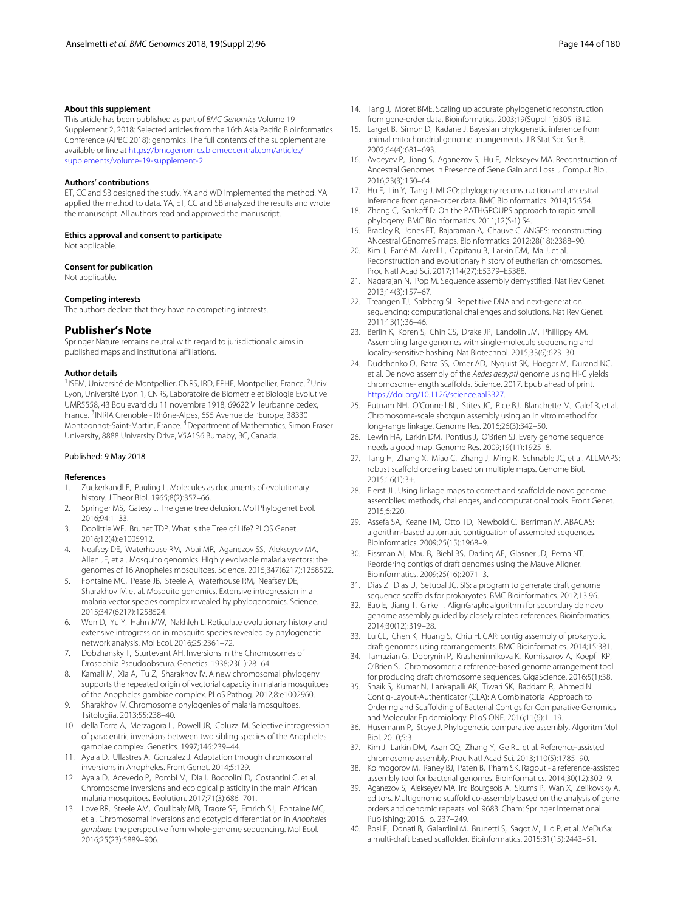#### **About this supplement**

This article has been published as part of BMC Genomics Volume 19 Supplement 2, 2018: Selected articles from the 16th Asia Pacific Bioinformatics Conference (APBC 2018): genomics. The full contents of the supplement are available online at [https://bmcgenomics.biomedcentral.com/articles/](https://bmcgenomics.biomedcentral.com/articles/supplements/volume-19-supplement-2) [supplements/volume-19-supplement-2.](https://bmcgenomics.biomedcentral.com/articles/supplements/volume-19-supplement-2)

#### **Authors' contributions**

ET, CC and SB designed the study. YA and WD implemented the method. YA applied the method to data. YA, ET, CC and SB analyzed the results and wrote the manuscript. All authors read and approved the manuscript.

#### **Ethics approval and consent to participate**

Not applicable.

#### **Consent for publication**

Not applicable.

#### **Competing interests**

The authors declare that they have no competing interests.

#### **Publisher's Note**

Springer Nature remains neutral with regard to jurisdictional claims in published maps and institutional affiliations.

#### **Author details**

<sup>1</sup> ISEM, Université de Montpellier, CNRS, IRD, EPHE, Montpellier, France. <sup>2</sup>Univ Lyon, Université Lyon 1, CNRS, Laboratoire de Biométrie et Biologie Evolutive UMR5558, 43 Boulevard du 11 novembre 1918, 69622 Villeurbanne cedex, France. 3INRIA Grenoble - Rhône-Alpes, 655 Avenue de l'Europe, 38330 Montbonnot-Saint-Martin, France. 4Department of Mathematics, Simon Fraser University, 8888 University Drive, V5A1S6 Burnaby, BC, Canada.

#### Published: 9 May 2018

#### **References**

- <span id="page-13-0"></span>1. Zuckerkandl E, Pauling L. Molecules as documents of evolutionary history. J Theor Biol. 1965;8(2):357–66.
- <span id="page-13-1"></span>2. Springer MS, Gatesy J. The gene tree delusion. Mol Phylogenet Evol. 2016;94:1–33.
- <span id="page-13-2"></span>3. Doolittle WF, Brunet TDP. What Is the Tree of Life? PLOS Genet. 2016;12(4):e1005912.
- <span id="page-13-3"></span>4. Neafsey DE, Waterhouse RM, Abai MR, Aganezov SS, Alekseyev MA, Allen JE, et al. Mosquito genomics. Highly evolvable malaria vectors: the genomes of 16 Anopheles mosquitoes. Science. 2015;347(6217):1258522.
- <span id="page-13-4"></span>5. Fontaine MC, Pease JB, Steele A, Waterhouse RM, Neafsey DE, Sharakhov IV, et al. Mosquito genomics. Extensive introgression in a malaria vector species complex revealed by phylogenomics. Science. 2015;347(6217):1258524.
- <span id="page-13-5"></span>6. Wen D, Yu Y, Hahn MW, Nakhleh L. Reticulate evolutionary history and extensive introgression in mosquito species revealed by phylogenetic network analysis. Mol Ecol. 2016;25:2361–72.
- <span id="page-13-6"></span>7. Dobzhansky T, Sturtevant AH. Inversions in the Chromosomes of Drosophila Pseudoobscura. Genetics. 1938;23(1):28–64.
- <span id="page-13-7"></span>Kamali M, Xia A, Tu Z, Sharakhov IV. A new chromosomal phylogeny supports the repeated origin of vectorial capacity in malaria mosquitoes of the Anopheles gambiae complex. PLoS Pathog. 2012;8:e1002960.
- <span id="page-13-8"></span>9. Sharakhov IV. Chromosome phylogenies of malaria mosquitoes. Tsitologiia. 2013;55:238–40.
- <span id="page-13-9"></span>10. della Torre A, Merzagora L, Powell JR, Coluzzi M. Selective introgression of paracentric inversions between two sibling species of the Anopheles gambiae complex. Genetics. 1997;146:239–44.
- <span id="page-13-10"></span>11. Ayala D, Ullastres A, González J. Adaptation through chromosomal inversions in Anopheles. Front Genet. 2014;5:129.
- 12. Ayala D, Acevedo P, Pombi M, Dia I, Boccolini D, Costantini C, et al. Chromosome inversions and ecological plasticity in the main African malaria mosquitoes. Evolution. 2017;71(3):686–701.
- <span id="page-13-11"></span>13. Love RR, Steele AM, Coulibaly MB, Traore SF, Emrich SJ, Fontaine MC, et al. Chromosomal inversions and ecotypic differentiation in Anopheles gambiae: the perspective from whole-genome sequencing. Mol Ecol. 2016;25(23):5889–906.
- <span id="page-13-12"></span>14. Tang J, Moret BME. Scaling up accurate phylogenetic reconstruction from gene-order data. Bioinformatics. 2003;19(Suppl 1):i305–i312.
- 15. Larget B, Simon D, Kadane J. Bayesian phylogenetic inference from animal mitochondrial genome arrangements. J R Stat Soc Ser B. 2002;64(4):681–693.
- <span id="page-13-33"></span>16. Avdeyev P, Jiang S, Aganezov S, Hu F, Alekseyev MA. Reconstruction of Ancestral Genomes in Presence of Gene Gain and Loss. J Comput Biol. 2016;23(3):150–64.
- 17. Hu F, Lin Y, Tang J. MLGO: phylogeny reconstruction and ancestral inference from gene-order data. BMC Bioinformatics. 2014;15:354.
- 18. Zheng C, Sankoff D. On the PATHGROUPS approach to rapid small phylogeny. BMC Bioinformatics. 2011;12(S-1):S4.
- <span id="page-13-13"></span>19. Bradley R, Jones ET, Rajaraman A, Chauve C. ANGES: reconstructing ANcestral GEnomeS maps. Bioinformatics. 2012;28(18):2388–90.
- <span id="page-13-14"></span>20. Kim J, Farré M, Auvil L, Capitanu B, Larkin DM, Ma J, et al. Reconstruction and evolutionary history of eutherian chromosomes. Proc Natl Acad Sci. 2017;114(27):E5379–E5388.
- <span id="page-13-15"></span>21. Nagarajan N, Pop M. Sequence assembly demystified. Nat Rev Genet. 2013;14(3):157–67.
- <span id="page-13-16"></span>22. Treangen TJ, Salzberg SL. Repetitive DNA and next-generation sequencing: computational challenges and solutions. Nat Rev Genet. 2011;13(1):36–46.
- <span id="page-13-17"></span>23. Berlin K, Koren S, Chin CS, Drake JP, Landolin JM, Phillippy AM. Assembling large genomes with single-molecule sequencing and locality-sensitive hashing. Nat Biotechnol. 2015;33(6):623–30.
- <span id="page-13-18"></span>24. Dudchenko O, Batra SS, Omer AD, Nyquist SK, Hoeger M, Durand NC, et al. De novo assembly of the Aedes aegypti genome using Hi-C yields chromosome-length scaffolds. Science. 2017. Epub ahead of print. [https://doi.org/10.1126/science.aal3327.](https://doi.org/10.1126/science.aal3327)
- <span id="page-13-19"></span>25. Putnam NH, O'Connell BL, Stites JC, Rice BJ, Blanchette M, Calef R, et al. Chromosome-scale shotgun assembly using an in vitro method for long-range linkage. Genome Res. 2016;26(3):342–50.
- <span id="page-13-20"></span>26. Lewin HA, Larkin DM, Pontius J, O'Brien SJ. Every genome sequence needs a good map. Genome Res. 2009;19(11):1925–8.
- 27. Tang H, Zhang X, Miao C, Zhang J, Ming R, Schnable JC, et al. ALLMAPS: robust scaffold ordering based on multiple maps. Genome Biol. 2015;16(1):3+.
- <span id="page-13-21"></span>28. Fierst JL. Using linkage maps to correct and scaffold de novo genome assemblies: methods, challenges, and computational tools. Front Genet. 2015;6:220.
- <span id="page-13-22"></span>29. Assefa SA, Keane TM, Otto TD, Newbold C, Berriman M. ABACAS: algorithm-based automatic contiguation of assembled sequences. Bioinformatics. 2009;25(15):1968–9.
- <span id="page-13-29"></span>30. Rissman AI, Mau B, Biehl BS, Darling AE, Glasner JD, Perna NT. Reordering contigs of draft genomes using the Mauve Aligner. Bioinformatics. 2009;25(16):2071–3.
- <span id="page-13-30"></span>31. Dias Z, Dias U, Setubal JC. SIS: a program to generate draft genome sequence scaffolds for prokaryotes. BMC Bioinformatics. 2012;13:96.
- 32. Bao E, Jiang T, Girke T. AlignGraph: algorithm for secondary de novo genome assembly guided by closely related references. Bioinformatics. 2014;30(12):319–28.
- <span id="page-13-31"></span>33. Lu CL, Chen K, Huang S, Chiu H. CAR: contig assembly of prokaryotic draft genomes using rearrangements. BMC Bioinformatics. 2014;15:381.
- <span id="page-13-24"></span>34. Tamazian G, Dobrynin P, Krasheninnikova K, Komissarov A, Koepfli KP, O'Brien SJ. Chromosomer: a reference-based genome arrangement tool for producing draft chromosome sequences. GigaScience. 2016;5(1):38.
- <span id="page-13-23"></span>35. Shaik S, Kumar N, Lankapalli AK, Tiwari SK, Baddam R, Ahmed N. Contig-Layout-Authenticator (CLA): A Combinatorial Approach to Ordering and Scaffolding of Bacterial Contigs for Comparative Genomics and Molecular Epidemiology. PLoS ONE. 2016;11(6):1–19.
- <span id="page-13-25"></span>36. Husemann P, Stoye J. Phylogenetic comparative assembly. Algoritm Mol Biol. 2010;5:3.
- <span id="page-13-28"></span>37. Kim J, Larkin DM, Asan CQ, Zhang Y, Ge RL, et al. Reference-assisted chromosome assembly. Proc Natl Acad Sci. 2013;110(5):1785–90.
- <span id="page-13-32"></span>38. Kolmogorov M, Raney BJ, Paten B, Pham SK. Ragout - a reference-assisted assembly tool for bacterial genomes. Bioinformatics. 2014;30(12):302–9.
- <span id="page-13-26"></span>39. Aganezov S, Alekseyev MA. In: Bourgeois A, Skums P, Wan X, Zelikovsky A, editors. Multigenome scaffold co-assembly based on the analysis of gene orders and genomic repeats. vol. 9683. Cham: Springer International Publishing; 2016. p. 237–249.
- <span id="page-13-27"></span>40. Bosi E, Donati B, Galardini M, Brunetti S, Sagot M, Lio P, et al. MeDuSa: a multi-draft based scaffolder. Bioinformatics. 2015;31(15):2443–51.